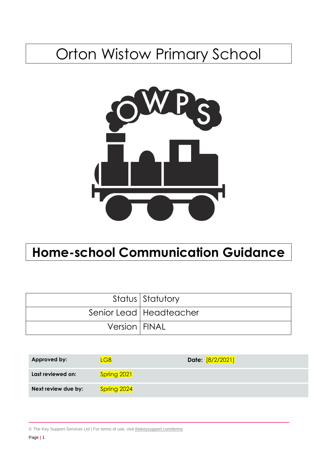# Orton Wistow Primary School



# **Home-school Communication Guidance**

|                        | Status Statutory          |
|------------------------|---------------------------|
|                        | Senior Lead   Headteacher |
| <b>Version   FINAL</b> |                           |

| <b>Approved by:</b> | .GB         | Date: [8/2/2021] |
|---------------------|-------------|------------------|
| Last reviewed on:   | Spring 2021 |                  |
| Next review due by: | Spring 2024 |                  |

© The Key Support Services Ltd | For terms of use, visit [thekeysupport.com/terms](https://thekeysupport.com/terms-of-use)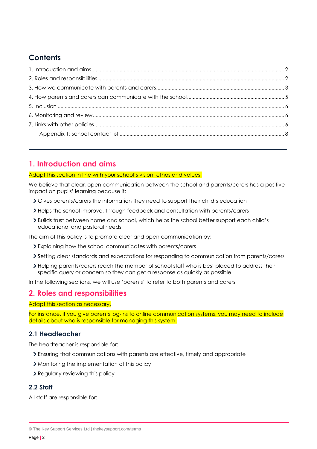# **Contents**

# <span id="page-1-0"></span>**1. Introduction and aims**

## Adapt this section in line with your school's vision, ethos and values.

We believe that clear, open communication between the school and parents/carers has a positive impact on pupils' learning because it:

- Gives parents/carers the information they need to support their child's education
- Helps the school improve, through feedback and consultation with parents/carers
- Builds trust between home and school, which helps the school better support each child's educational and pastoral needs

The aim of this policy is to promote clear and open communication by:

- Explaining how the school communicates with parents/carers
- Setting clear standards and expectations for responding to communication from parents/carers
- Helping parents/carers reach the member of school staff who is best placed to address their specific query or concern so they can get a response as quickly as possible

In the following sections, we will use 'parents' to refer to both parents and carers

## <span id="page-1-1"></span>**2. Roles and responsibilities**

Adapt this section as necessary.

For instance, if you give parents log-ins to online communication systems, you may need to include details about who is responsible for managing this system.

## **2.1 Headteacher**

The headteacher is responsible for:

- Ensuring that communications with parents are effective, timely and appropriate
- Monitoring the implementation of this policy
- > Regularly reviewing this policy

## **2.2 Staff**

All staff are responsible for:

<sup>©</sup> The Key Support Services Ltd | [thekeysupport.com/terms](https://thekeysupport.com/terms-of-use)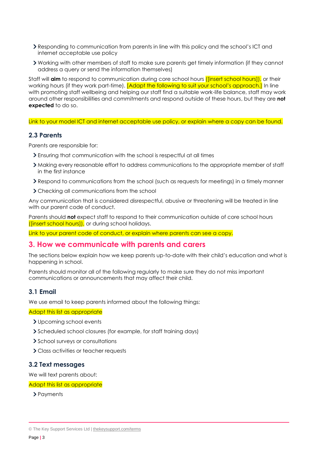- Responding to communication from parents in line with this policy and the school's ICT and internet acceptable use policy
- Working with other members of staff to make sure parents get timely information (if they cannot address a query or send the information themselves)

Staff will **aim** to respond to communication during core school hours ([insert school hours]), or their working hours (if they work part-time). [Adapt the following to suit your school's approach.] In line with promoting staff wellbeing and helping our staff find a suitable work-life balance, staff may work around other responsibilities and commitments and respond outside of these hours, but they are **not expected** to do so.

Link to your model ICT and internet acceptable use policy, or explain where a copy can be found.

## **2.3 Parents**

Parents are responsible for:

- Ensuring that communication with the school is respectful at all times
- Making every reasonable effort to address communications to the appropriate member of staff in the first instance
- Respond to communications from the school (such as requests for meetings) in a timely manner
- > Checking all communications from the school

Any communication that is considered disrespectful, abusive or threatening will be treated in line with our parent code of conduct.

Parents should **not** expect staff to respond to their communication outside of core school hours ([insert school hours]), or during school holidays.

Link to your parent code of conduct, or explain where parents can see a copy.

## <span id="page-2-0"></span>**3. How we communicate with parents and carers**

The sections below explain how we keep parents up-to-date with their child's education and what is happening in school.

Parents should monitor all of the following regularly to make sure they do not miss important communications or announcements that may affect their child.

## **3.1 Email**

We use email to keep parents informed about the following things:

#### Adapt this list as appropriate

- Upcoming school events
- Scheduled school closures (for example, for staff training days)
- > School surveys or consultations
- Class activities or teacher requests

## **3.2 Text messages**

We will text parents about:

#### Adapt this list as appropriate

> Payments

<sup>©</sup> The Key Support Services Ltd | [thekeysupport.com/terms](https://thekeysupport.com/terms-of-use)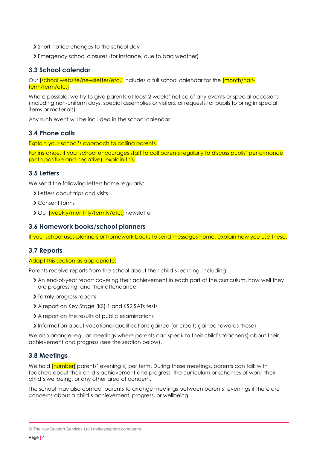- > Short-notice changes to the school day
- Emergency school closures (for instance, due to bad weather)

## **3.3 School calendar**

Our *[school website/newsletter/etc.]* includes a full school calendar for the *[month/half*term/term/etc.].

Where possible, we try to give parents at least 2 weeks' notice of any events or special occasions (including non-uniform days, special assemblies or visitors, or requests for pupils to bring in special items or materials).

Any such event will be included in the school calendar.

## **3.4 Phone calls**

Explain your school's approach to calling parents.

For instance, if your school encourages staff to call parents regularly to discuss pupils' performance (both positive and negative), explain this.

## **3.5 Letters**

We send the following letters home regularly:

- Letters about trips and visits
- Consent forms
- > Our [weekly/monthly/termly/etc.] newsletter

## **3.6 Homework books/school planners**

If your school uses planners or homework books to send messages home, explain how you use these.

#### **3.7 Reports**

#### Adapt this section as appropriate.

Parents receive reports from the school about their child's learning, including:

- An end-of-year report covering their achievement in each part of the curriculum, how well they are progressing, and their attendance
- > Termly progress reports
- A report on Key Stage (KS) 1 and KS2 SATs tests
- A report on the results of public examinations
- Information about vocational qualifications gained (or credits gained towards these)

We also arrange regular meetings where parents can speak to their child's teacher(s) about their achievement and progress (see the section below).

## **3.8 Meetings**

We hold *[number]* parents' evening(s) per term. During these meetings, parents can talk with teachers about their child's achievement and progress, the curriculum or schemes of work, their child's wellbeing, or any other area of concern.

The school may also contact parents to arrange meetings between parents' evenings if there are concerns about a child's achievement, progress, or wellbeing.

<sup>©</sup> The Key Support Services Ltd | [thekeysupport.com/terms](https://thekeysupport.com/terms-of-use)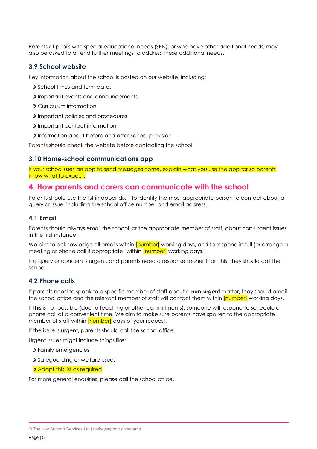Parents of pupils with special educational needs (SEN), or who have other additional needs, may also be asked to attend further meetings to address these additional needs.

## **3.9 School website**

Key information about the school is posted on our website, including:

- School times and term dates
- Important events and announcements
- Curriculum information
- > Important policies and procedures
- > Important contact information
- Information about before and after-school provision

Parents should check the website before contacting the school.

#### **3.10 Home-school communications app**

If your school uses an app to send messages home, explain what you use the app for so parents know what to expect.

## <span id="page-4-0"></span>**4. How parents and carers can communicate with the school**

Parents should use the list in appendix 1 to identify the most appropriate person to contact about a query or issue, including the school office number and email address.

#### **4.1 Email**

Parents should always email the school, or the appropriate member of staff, about non-urgent issues in the first instance.

We aim to acknowledge all emails within *[number]* working days, and to respond in full (or arrange a meeting or phone call if appropriate) within **[number]** working days.

If a query or concern is urgent, and parents need a response sooner than this, they should call the school.

#### **4.2 Phone calls**

If parents need to speak to a specific member of staff about a **non-urgent** matter, they should email the school office and the relevant member of staff will contact them within [number] working days.

If this is not possible (due to teaching or other commitments), someone will respond to schedule a phone call at a convenient time. We aim to make sure parents have spoken to the appropriate member of staff within [number] days of your request.

If the issue is urgent, parents should call the school office.

Urgent issues might include things like:

- Family emergencies
- > Safeguarding or welfare issues
- > Adapt this list as required

For more general enquiries, please call the school office.

<sup>©</sup> The Key Support Services Ltd | [thekeysupport.com/terms](https://thekeysupport.com/terms-of-use)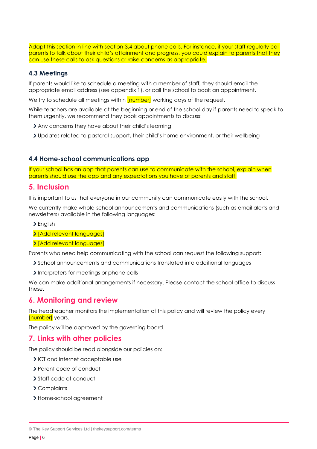Adapt this section in line with section 3.4 about phone calls. For instance, if your staff regularly call parents to talk about their child's attainment and progress, you could explain to parents that they can use these calls to ask questions or raise concerns as appropriate.

## **4.3 Meetings**

If parents would like to schedule a meeting with a member of staff, they should email the appropriate email address (see appendix 1), or call the school to book an appointment.

We try to schedule all meetings within [number] working days of the request.

While teachers are available at the beginning or end of the school day if parents need to speak to them urgently, we recommend they book appointments to discuss:

- Any concerns they have about their child's learning
- Updates related to pastoral support, their child's home environment, or their wellbeing

## **4.4 Home-school communications app**

If your school has an app that parents can use to communicate with the school, explain when parents should use the app and any expectations you have of parents and staff.

## <span id="page-5-0"></span>**5. Inclusion**

It is important to us that everyone in our community can communicate easily with the school.

We currently make whole-school announcements and communications (such as email alerts and newsletters) available in the following languages:

- > English
- > [Add relevant languages]
- > [Add relevant languages]

Parents who need help communicating with the school can request the following support:

- School announcements and communications translated into additional languages
- Interpreters for meetings or phone calls

We can make additional arrangements if necessary. Please contact the school office to discuss these.

## <span id="page-5-1"></span>**6. Monitoring and review**

The headteacher monitors the implementation of this policy and will review the policy every [number] years.

The policy will be approved by the governing board.

## <span id="page-5-2"></span>**7. Links with other policies**

The policy should be read alongside our policies on:

- ICT and internet acceptable use
- > Parent code of conduct
- > Staff code of conduct
- Complaints
- > Home-school agreement

<sup>©</sup> The Key Support Services Ltd | [thekeysupport.com/terms](https://thekeysupport.com/terms-of-use)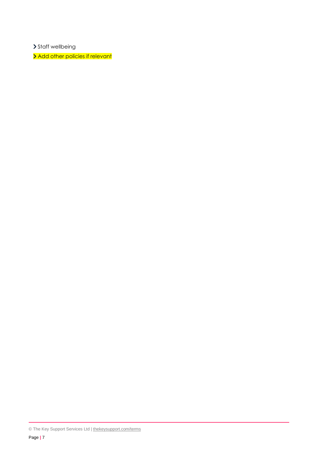> Staff wellbeing

> Add other policies if relevant

<sup>©</sup> The Key Support Services Ltd | [thekeysupport.com/terms](https://thekeysupport.com/terms-of-use)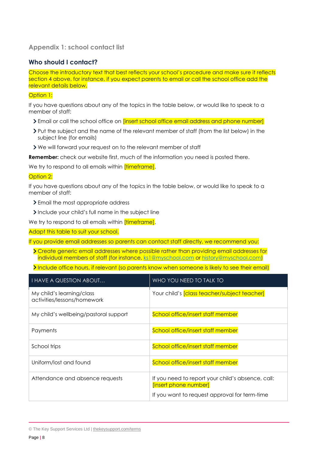## <span id="page-7-0"></span>**Appendix 1: school contact list**

## **Who should I contact?**

Choose the introductory text that best reflects your school's procedure and make sure it reflects section 4 above, for instance, if you expect parents to email or call the school office add the relevant details below.

#### Option 1:

If you have questions about any of the topics in the table below, or would like to speak to a member of staff:

- If Email or call the school office on *[insert school office email address and phone number]*
- Put the subject and the name of the relevant member of staff (from the list below) in the subject line (for emails)
- We will forward your request on to the relevant member of staff

**Remember:** check our website first, much of the information you need is posted there.

We try to respond to all emails within *[timeframe]*.

#### Option 2:

If you have questions about any of the topics in the table below, or would like to speak to a member of staff:

- Email the most appropriate address
- Include your child's full name in the subject line

We try to respond to all emails within *[timeframe]*.

Adapt this table to suit your school.

If you provide email addresses so parents can contact staff directly, we recommend you:

- Create generic email addresses where possible rather than providing email addresses for individual members of staff (for instance, [ks1@myschool.com](mailto:ks1@myschool.com) or [history@myschool.com\)](mailto:history@myschool.com)
- Include office hours, if relevant (so parents know when someone is likely to see their email)

| <b>I HAVE A QUESTION ABOUT</b>                           | WHO YOU NEED TO TALK TO                                                                                                     |
|----------------------------------------------------------|-----------------------------------------------------------------------------------------------------------------------------|
| My child's learning/class<br>activities/lessons/homework | Your child's <i>[class teacher/subject teacher]</i>                                                                         |
| My child's wellbeing/pastoral support                    | School office/insert staff member                                                                                           |
| Payments                                                 | School office/insert staff member                                                                                           |
| School trips                                             | School office/insert staff member                                                                                           |
| Uniform/lost and found                                   | School office/insert staff member                                                                                           |
| Attendance and absence requests                          | If you need to report your child's absence, call:<br>[insert phone number]<br>If you want to request approval for term-time |

<sup>©</sup> The Key Support Services Ltd | [thekeysupport.com/terms](https://thekeysupport.com/terms-of-use)